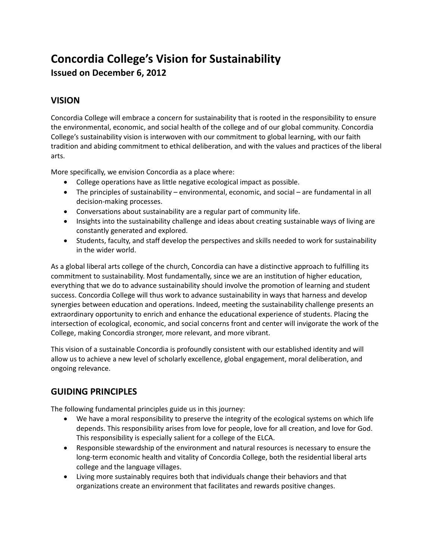## **Concordia College's Vision for Sustainability Issued on December 6, 2012**

## **VISION**

Concordia College will embrace a concern for sustainability that is rooted in the responsibility to ensure the environmental, economic, and social health of the college and of our global community. Concordia College's sustainability vision is interwoven with our commitment to global learning, with our faith tradition and abiding commitment to ethical deliberation, and with the values and practices of the liberal arts.

More specifically, we envision Concordia as a place where:

- College operations have as little negative ecological impact as possible.
- The principles of sustainability environmental, economic, and social are fundamental in all decision-making processes.
- Conversations about sustainability are a regular part of community life.
- Insights into the sustainability challenge and ideas about creating sustainable ways of living are constantly generated and explored.
- Students, faculty, and staff develop the perspectives and skills needed to work for sustainability in the wider world.

As a global liberal arts college of the church, Concordia can have a distinctive approach to fulfilling its commitment to sustainability. Most fundamentally, since we are an institution of higher education, everything that we do to advance sustainability should involve the promotion of learning and student success. Concordia College will thus work to advance sustainability in ways that harness and develop synergies between education and operations. Indeed, meeting the sustainability challenge presents an extraordinary opportunity to enrich and enhance the educational experience of students. Placing the intersection of ecological, economic, and social concerns front and center will invigorate the work of the College, making Concordia stronger, more relevant, and more vibrant.

This vision of a sustainable Concordia is profoundly consistent with our established identity and will allow us to achieve a new level of scholarly excellence, global engagement, moral deliberation, and ongoing relevance.

## **GUIDING PRINCIPLES**

The following fundamental principles guide us in this journey:

- We have a moral responsibility to preserve the integrity of the ecological systems on which life depends. This responsibility arises from love for people, love for all creation, and love for God. This responsibility is especially salient for a college of the ELCA.
- Responsible stewardship of the environment and natural resources is necessary to ensure the long-term economic health and vitality of Concordia College, both the residential liberal arts college and the language villages.
- Living more sustainably requires both that individuals change their behaviors and that organizations create an environment that facilitates and rewards positive changes.